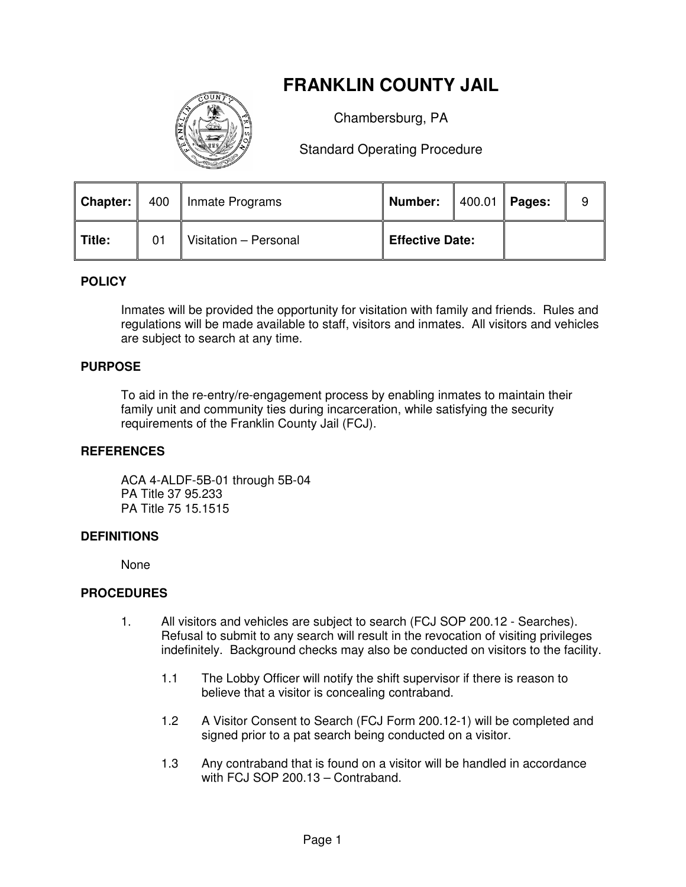# **FRANKLIN COUNTY JAIL**



Chambersburg, PA

Standard Operating Procedure

|             |    | <b>Chapter:</b>   400   Inmate Programs | Number:                |  | $1400.01$ Pages: | 9 |
|-------------|----|-----------------------------------------|------------------------|--|------------------|---|
| $\ $ Title: | 01 | Visitation - Personal                   | <b>Effective Date:</b> |  |                  |   |

## **POLICY**

Inmates will be provided the opportunity for visitation with family and friends. Rules and regulations will be made available to staff, visitors and inmates. All visitors and vehicles are subject to search at any time.

### **PURPOSE**

To aid in the re-entry/re-engagement process by enabling inmates to maintain their family unit and community ties during incarceration, while satisfying the security requirements of the Franklin County Jail (FCJ).

#### **REFERENCES**

 ACA 4-ALDF-5B-01 through 5B-04 PA Title 37 95.233 PA Title 75 15.1515

#### **DEFINITIONS**

None

#### **PROCEDURES**

- 1. All visitors and vehicles are subject to search (FCJ SOP 200.12 Searches). Refusal to submit to any search will result in the revocation of visiting privileges indefinitely. Background checks may also be conducted on visitors to the facility.
	- 1.1 The Lobby Officer will notify the shift supervisor if there is reason to believe that a visitor is concealing contraband.
	- 1.2 A Visitor Consent to Search (FCJ Form 200.12-1) will be completed and signed prior to a pat search being conducted on a visitor.
	- 1.3 Any contraband that is found on a visitor will be handled in accordance with FCJ SOP 200.13 – Contraband.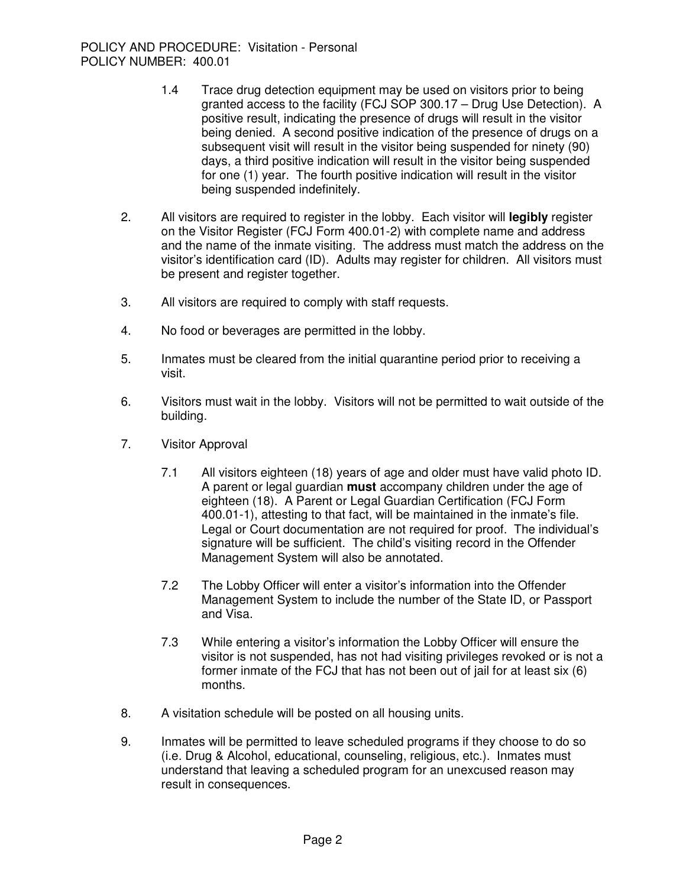- 1.4 Trace drug detection equipment may be used on visitors prior to being granted access to the facility (FCJ SOP 300.17 – Drug Use Detection). A positive result, indicating the presence of drugs will result in the visitor being denied. A second positive indication of the presence of drugs on a subsequent visit will result in the visitor being suspended for ninety (90) days, a third positive indication will result in the visitor being suspended for one (1) year. The fourth positive indication will result in the visitor being suspended indefinitely.
- 2. All visitors are required to register in the lobby. Each visitor will **legibly** register on the Visitor Register (FCJ Form 400.01-2) with complete name and address and the name of the inmate visiting. The address must match the address on the visitor's identification card (ID). Adults may register for children. All visitors must be present and register together.
- 3. All visitors are required to comply with staff requests.
- 4. No food or beverages are permitted in the lobby.
- 5. Inmates must be cleared from the initial quarantine period prior to receiving a visit.
- 6. Visitors must wait in the lobby. Visitors will not be permitted to wait outside of the building.
- 7. Visitor Approval
	- 7.1 All visitors eighteen (18) years of age and older must have valid photo ID. A parent or legal guardian **must** accompany children under the age of eighteen (18). A Parent or Legal Guardian Certification (FCJ Form 400.01-1), attesting to that fact, will be maintained in the inmate's file. Legal or Court documentation are not required for proof. The individual's signature will be sufficient. The child's visiting record in the Offender Management System will also be annotated.
	- 7.2 The Lobby Officer will enter a visitor's information into the Offender Management System to include the number of the State ID, or Passport and Visa.
	- 7.3 While entering a visitor's information the Lobby Officer will ensure the visitor is not suspended, has not had visiting privileges revoked or is not a former inmate of the FCJ that has not been out of jail for at least six (6) months.
- 8. A visitation schedule will be posted on all housing units.
- 9. Inmates will be permitted to leave scheduled programs if they choose to do so (i.e. Drug & Alcohol, educational, counseling, religious, etc.). Inmates must understand that leaving a scheduled program for an unexcused reason may result in consequences.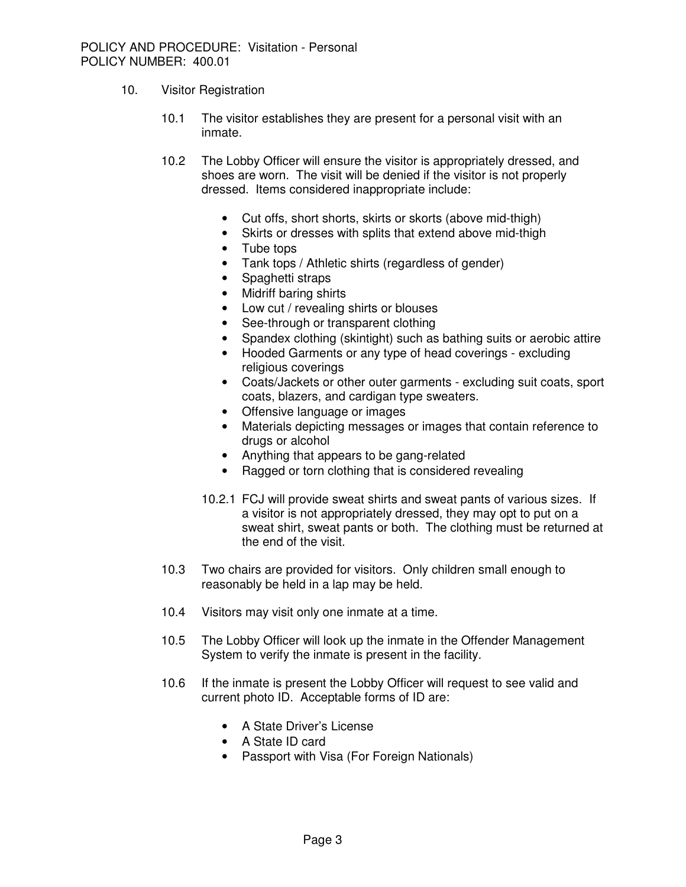- 10. Visitor Registration
	- 10.1 The visitor establishes they are present for a personal visit with an inmate.
	- 10.2 The Lobby Officer will ensure the visitor is appropriately dressed, and shoes are worn. The visit will be denied if the visitor is not properly dressed. Items considered inappropriate include:
		- Cut offs, short shorts, skirts or skorts (above mid-thigh)
		- Skirts or dresses with splits that extend above mid-thigh
		- Tube tops
		- Tank tops / Athletic shirts (regardless of gender)
		- Spaghetti straps
		- Midriff baring shirts
		- Low cut / revealing shirts or blouses
		- See-through or transparent clothing
		- Spandex clothing (skintight) such as bathing suits or aerobic attire
		- Hooded Garments or any type of head coverings excluding religious coverings
		- Coats/Jackets or other outer garments excluding suit coats, sport coats, blazers, and cardigan type sweaters.
		- Offensive language or images
		- Materials depicting messages or images that contain reference to drugs or alcohol
		- Anything that appears to be gang-related
		- Ragged or torn clothing that is considered revealing
		- 10.2.1 FCJ will provide sweat shirts and sweat pants of various sizes. If a visitor is not appropriately dressed, they may opt to put on a sweat shirt, sweat pants or both. The clothing must be returned at the end of the visit.
	- 10.3 Two chairs are provided for visitors. Only children small enough to reasonably be held in a lap may be held.
	- 10.4 Visitors may visit only one inmate at a time.
	- 10.5 The Lobby Officer will look up the inmate in the Offender Management System to verify the inmate is present in the facility.
	- 10.6 If the inmate is present the Lobby Officer will request to see valid and current photo ID. Acceptable forms of ID are:
		- A State Driver's License
		- A State ID card
		- Passport with Visa (For Foreign Nationals)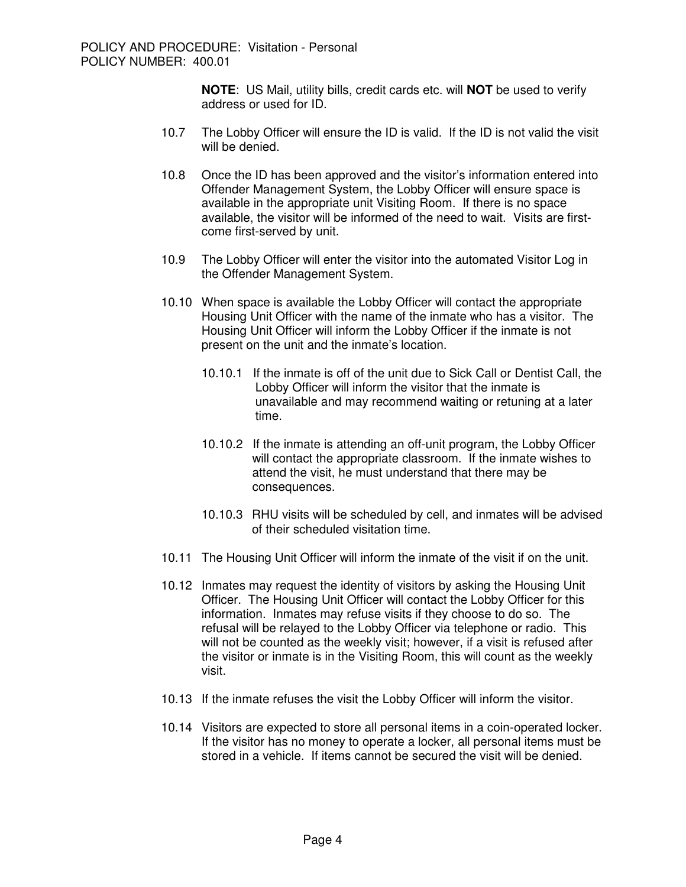**NOTE**: US Mail, utility bills, credit cards etc. will **NOT** be used to verify address or used for ID.

- 10.7 The Lobby Officer will ensure the ID is valid. If the ID is not valid the visit will be denied.
- 10.8 Once the ID has been approved and the visitor's information entered into Offender Management System, the Lobby Officer will ensure space is available in the appropriate unit Visiting Room. If there is no space available, the visitor will be informed of the need to wait. Visits are firstcome first-served by unit.
- 10.9 The Lobby Officer will enter the visitor into the automated Visitor Log in the Offender Management System.
- 10.10 When space is available the Lobby Officer will contact the appropriate Housing Unit Officer with the name of the inmate who has a visitor. The Housing Unit Officer will inform the Lobby Officer if the inmate is not present on the unit and the inmate's location.
	- 10.10.1 If the inmate is off of the unit due to Sick Call or Dentist Call, the Lobby Officer will inform the visitor that the inmate is unavailable and may recommend waiting or retuning at a later time.
	- 10.10.2 If the inmate is attending an off-unit program, the Lobby Officer will contact the appropriate classroom. If the inmate wishes to attend the visit, he must understand that there may be consequences.
	- 10.10.3 RHU visits will be scheduled by cell, and inmates will be advised of their scheduled visitation time.
- 10.11 The Housing Unit Officer will inform the inmate of the visit if on the unit.
- 10.12 Inmates may request the identity of visitors by asking the Housing Unit Officer. The Housing Unit Officer will contact the Lobby Officer for this information. Inmates may refuse visits if they choose to do so. The refusal will be relayed to the Lobby Officer via telephone or radio. This will not be counted as the weekly visit; however, if a visit is refused after the visitor or inmate is in the Visiting Room, this will count as the weekly visit.
- 10.13 If the inmate refuses the visit the Lobby Officer will inform the visitor.
- 10.14 Visitors are expected to store all personal items in a coin-operated locker. If the visitor has no money to operate a locker, all personal items must be stored in a vehicle. If items cannot be secured the visit will be denied.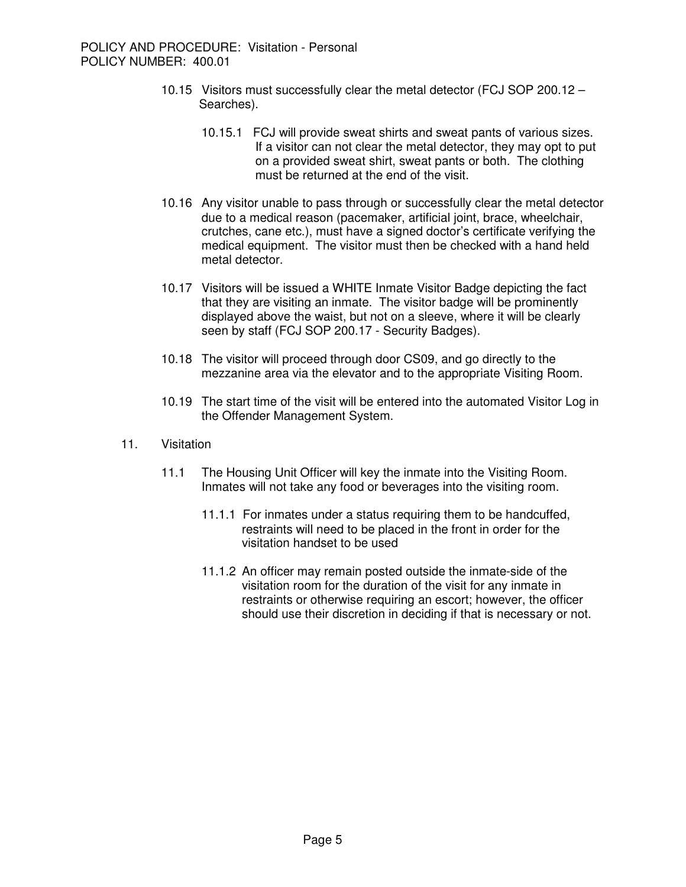- 10.15 Visitors must successfully clear the metal detector (FCJ SOP 200.12 Searches).
	- 10.15.1 FCJ will provide sweat shirts and sweat pants of various sizes. If a visitor can not clear the metal detector, they may opt to put on a provided sweat shirt, sweat pants or both. The clothing must be returned at the end of the visit.
- 10.16 Any visitor unable to pass through or successfully clear the metal detector due to a medical reason (pacemaker, artificial joint, brace, wheelchair, crutches, cane etc.), must have a signed doctor's certificate verifying the medical equipment. The visitor must then be checked with a hand held metal detector.
- 10.17 Visitors will be issued a WHITE Inmate Visitor Badge depicting the fact that they are visiting an inmate. The visitor badge will be prominently displayed above the waist, but not on a sleeve, where it will be clearly seen by staff (FCJ SOP 200.17 - Security Badges).
- 10.18 The visitor will proceed through door CS09, and go directly to the mezzanine area via the elevator and to the appropriate Visiting Room.
- 10.19 The start time of the visit will be entered into the automated Visitor Log in the Offender Management System.
- 11. Visitation
	- 11.1 The Housing Unit Officer will key the inmate into the Visiting Room. Inmates will not take any food or beverages into the visiting room.
		- 11.1.1 For inmates under a status requiring them to be handcuffed, restraints will need to be placed in the front in order for the visitation handset to be used
		- 11.1.2 An officer may remain posted outside the inmate-side of the visitation room for the duration of the visit for any inmate in restraints or otherwise requiring an escort; however, the officer should use their discretion in deciding if that is necessary or not.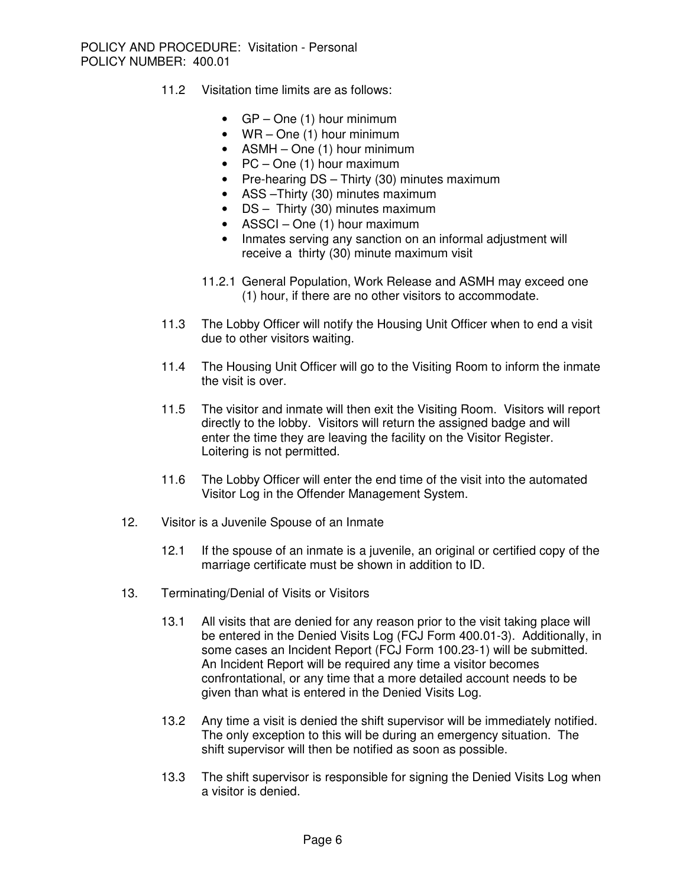- 11.2 Visitation time limits are as follows:
	- GP One (1) hour minimum
	- WR One (1) hour minimum
	- ASMH One (1) hour minimum
	- PC One (1) hour maximum
	- Pre-hearing DS Thirty (30) minutes maximum
	- ASS –Thirty (30) minutes maximum
	- DS Thirty (30) minutes maximum
	- ASSCI One (1) hour maximum
	- Inmates serving any sanction on an informal adjustment will receive a thirty (30) minute maximum visit
	- 11.2.1 General Population, Work Release and ASMH may exceed one (1) hour, if there are no other visitors to accommodate.
- 11.3 The Lobby Officer will notify the Housing Unit Officer when to end a visit due to other visitors waiting.
- 11.4 The Housing Unit Officer will go to the Visiting Room to inform the inmate the visit is over.
- 11.5 The visitor and inmate will then exit the Visiting Room. Visitors will report directly to the lobby. Visitors will return the assigned badge and will enter the time they are leaving the facility on the Visitor Register. Loitering is not permitted.
- 11.6 The Lobby Officer will enter the end time of the visit into the automated Visitor Log in the Offender Management System.
- 12. Visitor is a Juvenile Spouse of an Inmate
	- 12.1 If the spouse of an inmate is a juvenile, an original or certified copy of the marriage certificate must be shown in addition to ID.
- 13. Terminating/Denial of Visits or Visitors
	- 13.1 All visits that are denied for any reason prior to the visit taking place will be entered in the Denied Visits Log (FCJ Form 400.01-3). Additionally, in some cases an Incident Report (FCJ Form 100.23-1) will be submitted. An Incident Report will be required any time a visitor becomes confrontational, or any time that a more detailed account needs to be given than what is entered in the Denied Visits Log.
	- 13.2 Any time a visit is denied the shift supervisor will be immediately notified. The only exception to this will be during an emergency situation. The shift supervisor will then be notified as soon as possible.
	- 13.3 The shift supervisor is responsible for signing the Denied Visits Log when a visitor is denied.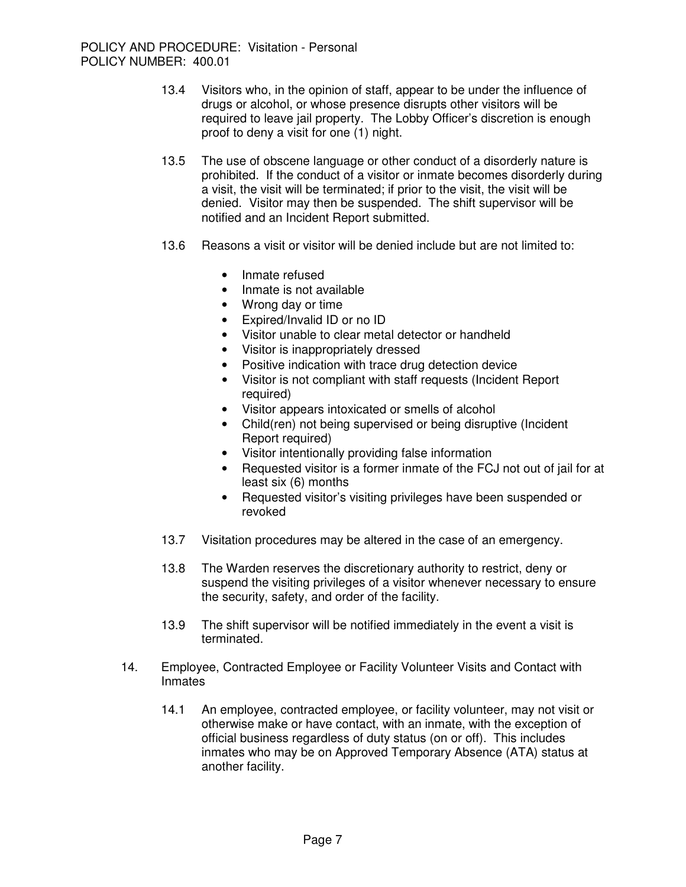- 13.4 Visitors who, in the opinion of staff, appear to be under the influence of drugs or alcohol, or whose presence disrupts other visitors will be required to leave jail property. The Lobby Officer's discretion is enough proof to deny a visit for one (1) night.
- 13.5 The use of obscene language or other conduct of a disorderly nature is prohibited. If the conduct of a visitor or inmate becomes disorderly during a visit, the visit will be terminated; if prior to the visit, the visit will be denied. Visitor may then be suspended. The shift supervisor will be notified and an Incident Report submitted.
- 13.6 Reasons a visit or visitor will be denied include but are not limited to:
	- Inmate refused
	- Inmate is not available
	- Wrong day or time
	- Expired/Invalid ID or no ID
	- Visitor unable to clear metal detector or handheld
	- Visitor is inappropriately dressed
	- Positive indication with trace drug detection device
	- Visitor is not compliant with staff requests (Incident Report required)
	- Visitor appears intoxicated or smells of alcohol
	- Child(ren) not being supervised or being disruptive (Incident Report required)
	- Visitor intentionally providing false information
	- Requested visitor is a former inmate of the FCJ not out of jail for at least six (6) months
	- Requested visitor's visiting privileges have been suspended or revoked
- 13.7 Visitation procedures may be altered in the case of an emergency.
- 13.8 The Warden reserves the discretionary authority to restrict, deny or suspend the visiting privileges of a visitor whenever necessary to ensure the security, safety, and order of the facility.
- 13.9 The shift supervisor will be notified immediately in the event a visit is terminated.
- 14. Employee, Contracted Employee or Facility Volunteer Visits and Contact with **Inmates** 
	- 14.1 An employee, contracted employee, or facility volunteer, may not visit or otherwise make or have contact, with an inmate, with the exception of official business regardless of duty status (on or off). This includes inmates who may be on Approved Temporary Absence (ATA) status at another facility.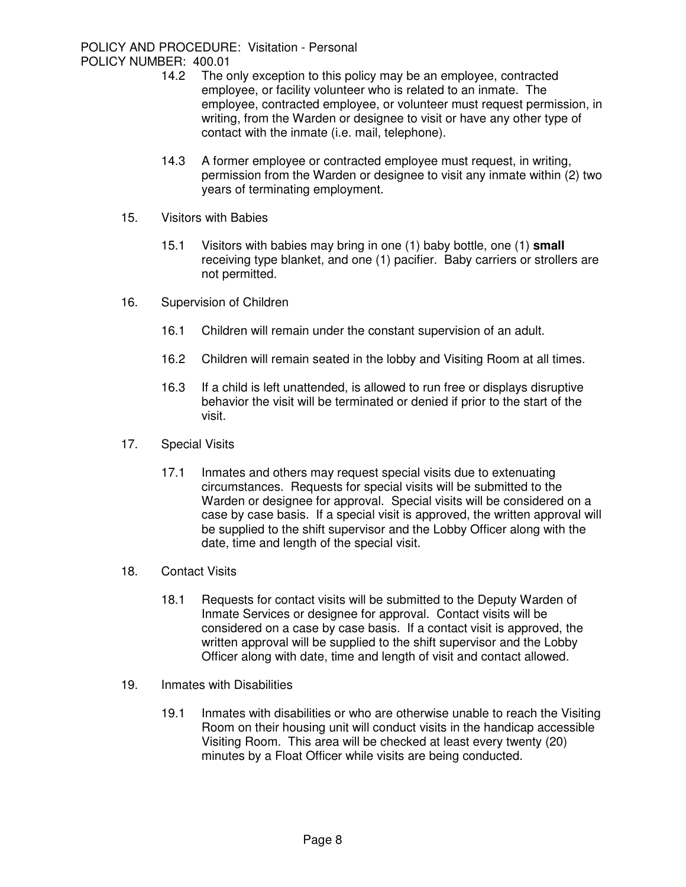- 14.2 The only exception to this policy may be an employee, contracted employee, or facility volunteer who is related to an inmate. The employee, contracted employee, or volunteer must request permission, in writing, from the Warden or designee to visit or have any other type of contact with the inmate (i.e. mail, telephone).
- 14.3 A former employee or contracted employee must request, in writing, permission from the Warden or designee to visit any inmate within (2) two years of terminating employment.
- 15. Visitors with Babies
	- 15.1 Visitors with babies may bring in one (1) baby bottle, one (1) **small** receiving type blanket, and one (1) pacifier. Baby carriers or strollers are not permitted.
- 16. Supervision of Children
	- 16.1 Children will remain under the constant supervision of an adult.
	- 16.2 Children will remain seated in the lobby and Visiting Room at all times.
	- 16.3 If a child is left unattended, is allowed to run free or displays disruptive behavior the visit will be terminated or denied if prior to the start of the visit.
- 17. Special Visits
	- 17.1 Inmates and others may request special visits due to extenuating circumstances. Requests for special visits will be submitted to the Warden or designee for approval. Special visits will be considered on a case by case basis. If a special visit is approved, the written approval will be supplied to the shift supervisor and the Lobby Officer along with the date, time and length of the special visit.
- 18. Contact Visits
	- 18.1 Requests for contact visits will be submitted to the Deputy Warden of Inmate Services or designee for approval. Contact visits will be considered on a case by case basis. If a contact visit is approved, the written approval will be supplied to the shift supervisor and the Lobby Officer along with date, time and length of visit and contact allowed.
- 19. Inmates with Disabilities
	- 19.1 Inmates with disabilities or who are otherwise unable to reach the Visiting Room on their housing unit will conduct visits in the handicap accessible Visiting Room. This area will be checked at least every twenty (20) minutes by a Float Officer while visits are being conducted.